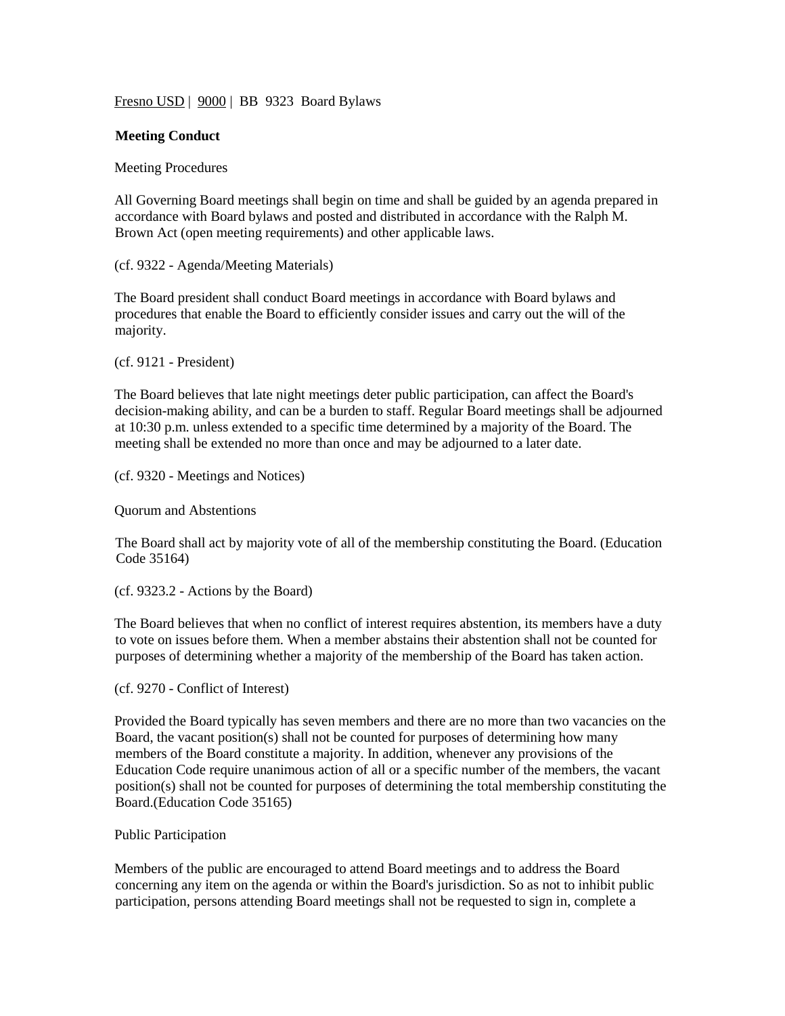Fresno USD | 9000 | BB 9323 Board Bylaws

### **Meeting Conduct**

Meeting Procedures

All Governing Board meetings shall begin on time and shall be guided by an agenda prepared in accordance with Board bylaws and posted and distributed in accordance with the Ralph M. Brown Act (open meeting requirements) and other applicable laws.

(cf. 9322 - Agenda/Meeting Materials)

The Board president shall conduct Board meetings in accordance with Board bylaws and procedures that enable the Board to efficiently consider issues and carry out the will of the majority.

(cf. 9121 - President)

The Board believes that late night meetings deter public participation, can affect the Board's decision-making ability, and can be a burden to staff. Regular Board meetings shall be adjourned at 10:30 p.m. unless extended to a specific time determined by a majority of the Board. The meeting shall be extended no more than once and may be adjourned to a later date.

(cf. 9320 - Meetings and Notices)

Quorum and Abstentions

The Board shall act by majority vote of all of the membership constituting the Board. (Education Code 35164)

(cf. 9323.2 - Actions by the Board)

The Board believes that when no conflict of interest requires abstention, its members have a duty to vote on issues before them. When a member abstains their abstention shall not be counted for purposes of determining whether a majority of the membership of the Board has taken action.

(cf. 9270 - Conflict of Interest)

Provided the Board typically has seven members and there are no more than two vacancies on the Board, the vacant position(s) shall not be counted for purposes of determining how many members of the Board constitute a majority. In addition, whenever any provisions of the Education Code require unanimous action of all or a specific number of the members, the vacant position(s) shall not be counted for purposes of determining the total membership constituting the Board.(Education Code 35165)

#### Public Participation

Members of the public are encouraged to attend Board meetings and to address the Board concerning any item on the agenda or within the Board's jurisdiction. So as not to inhibit public participation, persons attending Board meetings shall not be requested to sign in, complete a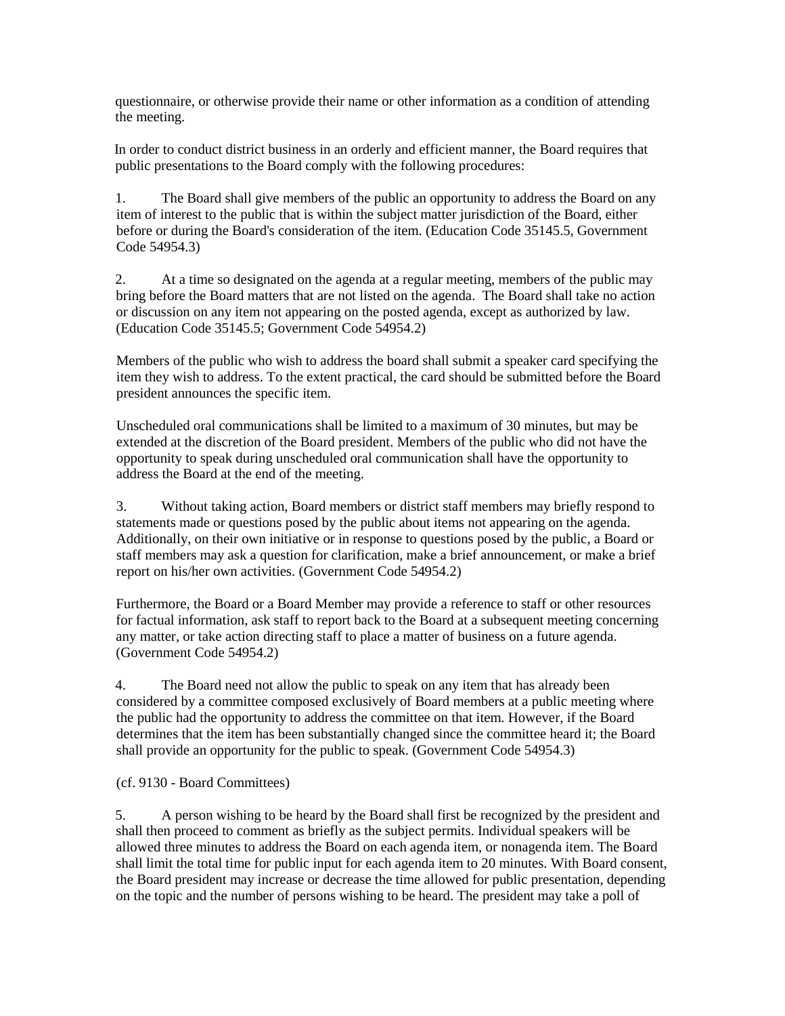questionnaire, or otherwise provide their name or other information as a condition of attending the meeting.

In order to conduct district business in an orderly and efficient manner, the Board requires that public presentations to the Board comply with the following procedures:

1. The Board shall give members of the public an opportunity to address the Board on any item of interest to the public that is within the subject matter jurisdiction of the Board, either before or during the Board's consideration of the item. (Education Code 35145.5, Government Code 54954.3)

2. At a time so designated on the agenda at a regular meeting, members of the public may bring before the Board matters that are not listed on the agenda. The Board shall take no action or discussion on any item not appearing on the posted agenda, except as authorized by law. (Education Code 35145.5; Government Code 54954.2)

Members of the public who wish to address the board shall submit a speaker card specifying the item they wish to address. To the extent practical, the card should be submitted before the Board president announces the specific item.

Unscheduled oral communications shall be limited to a maximum of 30 minutes, but may be extended at the discretion of the Board president. Members of the public who did not have the opportunity to speak during unscheduled oral communication shall have the opportunity to address the Board at the end of the meeting.

3. Without taking action, Board members or district staff members may briefly respond to statements made or questions posed by the public about items not appearing on the agenda. Additionally, on their own initiative or in response to questions posed by the public, a Board or staff members may ask a question for clarification, make a brief announcement, or make a brief report on his/her own activities. (Government Code 54954.2)

Furthermore, the Board or a Board Member may provide a reference to staff or other resources for factual information, ask staff to report back to the Board at a subsequent meeting concerning any matter, or take action directing staff to place a matter of business on a future agenda. (Government Code 54954.2)

4. The Board need not allow the public to speak on any item that has already been considered by a committee composed exclusively of Board members at a public meeting where the public had the opportunity to address the committee on that item. However, if the Board determines that the item has been substantially changed since the committee heard it; the Board shall provide an opportunity for the public to speak. (Government Code 54954.3)

# (cf. 9130 - Board Committees)

5. A person wishing to be heard by the Board shall first be recognized by the president and shall then proceed to comment as briefly as the subject permits. Individual speakers will be allowed three minutes to address the Board on each agenda item, or nonagenda item. The Board shall limit the total time for public input for each agenda item to 20 minutes. With Board consent, the Board president may increase or decrease the time allowed for public presentation, depending on the topic and the number of persons wishing to be heard. The president may take a poll of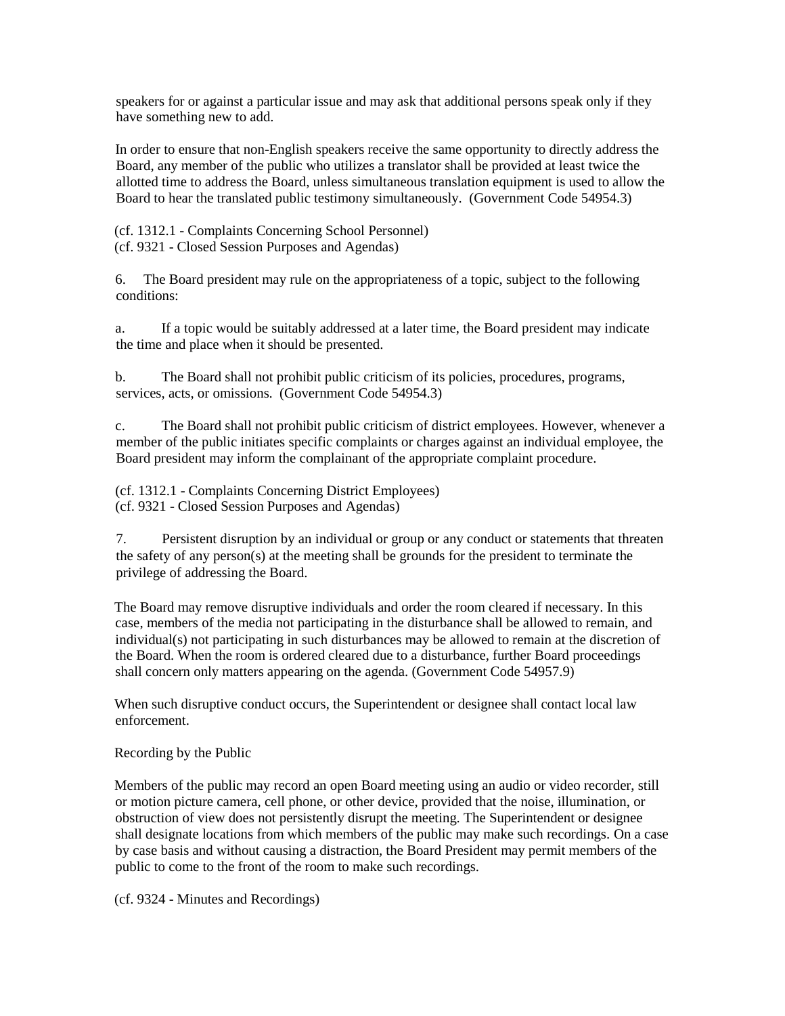speakers for or against a particular issue and may ask that additional persons speak only if they have something new to add.

In order to ensure that non-English speakers receive the same opportunity to directly address the Board, any member of the public who utilizes a translator shall be provided at least twice the allotted time to address the Board, unless simultaneous translation equipment is used to allow the Board to hear the translated public testimony simultaneously. (Government Code 54954.3)

(cf. 1312.1 - Complaints Concerning School Personnel) (cf. 9321 - Closed Session Purposes and Agendas)

6. The Board president may rule on the appropriateness of a topic, subject to the following conditions:

a. If a topic would be suitably addressed at a later time, the Board president may indicate the time and place when it should be presented.

b. The Board shall not prohibit public criticism of its policies, procedures, programs, services, acts, or omissions. (Government Code 54954.3)

c. The Board shall not prohibit public criticism of district employees. However, whenever a member of the public initiates specific complaints or charges against an individual employee, the Board president may inform the complainant of the appropriate complaint procedure.

(cf. 1312.1 - Complaints Concerning District Employees) (cf. 9321 - Closed Session Purposes and Agendas)

7. Persistent disruption by an individual or group or any conduct or statements that threaten the safety of any person(s) at the meeting shall be grounds for the president to terminate the privilege of addressing the Board.

The Board may remove disruptive individuals and order the room cleared if necessary. In this case, members of the media not participating in the disturbance shall be allowed to remain, and individual(s) not participating in such disturbances may be allowed to remain at the discretion of the Board. When the room is ordered cleared due to a disturbance, further Board proceedings shall concern only matters appearing on the agenda. (Government Code 54957.9)

When such disruptive conduct occurs, the Superintendent or designee shall contact local law enforcement.

# Recording by the Public

Members of the public may record an open Board meeting using an audio or video recorder, still or motion picture camera, cell phone, or other device, provided that the noise, illumination, or obstruction of view does not persistently disrupt the meeting. The Superintendent or designee shall designate locations from which members of the public may make such recordings. On a case by case basis and without causing a distraction, the Board President may permit members of the public to come to the front of the room to make such recordings.

(cf. 9324 - Minutes and Recordings)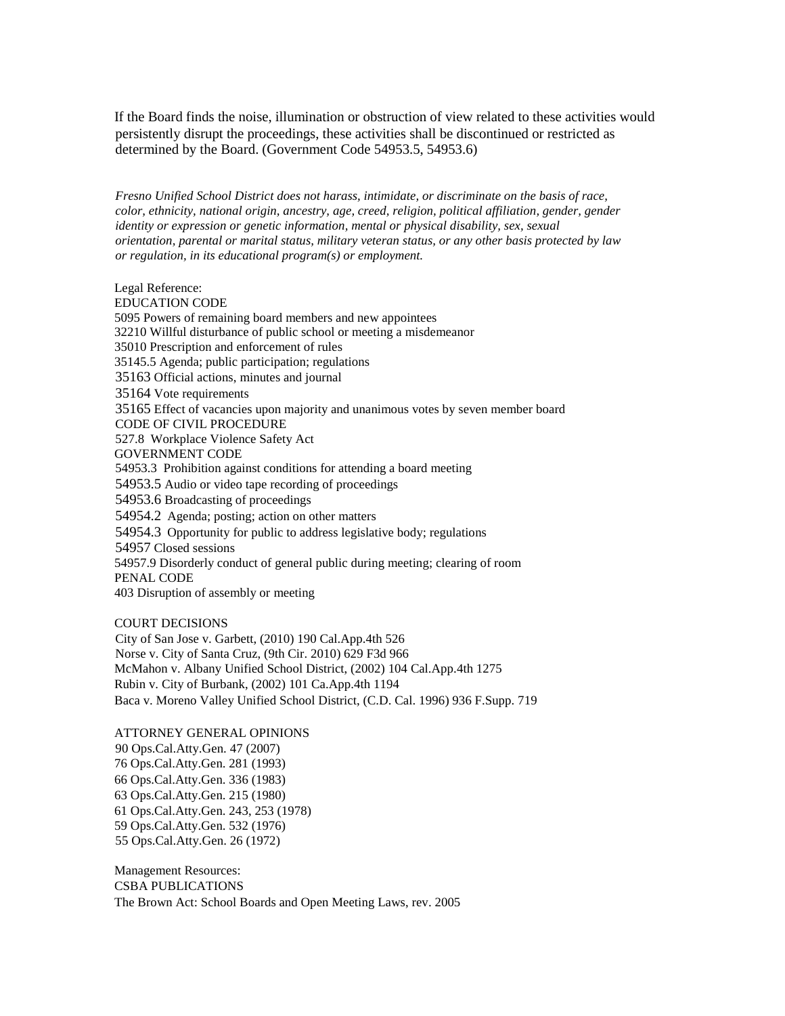If the Board finds the noise, illumination or obstruction of view related to these activities would persistently disrupt the proceedings, these activities shall be discontinued or restricted as determined by the Board. (Government Code 54953.5, 54953.6)

*Fresno Unified School District does not harass, intimidate, or discriminate on the basis of race, color, ethnicity, national origin, ancestry, age, creed, religion, political affiliation, gender, gender identity or expression or genetic information, mental or physical disability, sex, sexual orientation, parental or marital status, military veteran status, or any other basis protected by law or regulation, in its educational program(s) or employment.*

Legal Reference: EDUCATION CODE 5095 Powers of remaining board members and new appointees 32210 Willful disturbance of public school or meeting a misdemeanor 35010 Prescription and enforcement of rules 35145.5 Agenda; public participation; regulations 35163 Official actions, minutes and journal 35164 Vote requirements 35165 Effect of vacancies upon majority and unanimous votes by seven member board CODE OF CIVIL PROCEDURE 527.8 Workplace Violence Safety Act GOVERNMENT CODE 54953.3 Prohibition against conditions for attending a board meeting 54953.5 Audio or video tape recording of proceedings 54953.6 Broadcasting of proceedings 54954.2 Agenda; posting; action on other matters 54954.3 Opportunity for public to address legislative body; regulations 54957 Closed sessions 54957.9 Disorderly conduct of general public during meeting; clearing of room PENAL CODE 403 Disruption of assembly or meeting

COURT DECISIONS

City of San Jose v. Garbett, (2010) 190 Cal.App.4th 526 Norse v. City of Santa Cruz, (9th Cir. 2010) 629 F3d 966 McMahon v. Albany Unified School District, (2002) 104 Cal.App.4th 1275 Rubin v. City of Burbank, (2002) 101 Ca.App.4th 1194 Baca v. Moreno Valley Unified School District, (C.D. Cal. 1996) 936 F.Supp. 719

#### ATTORNEY GENERAL OPINIONS

90 Ops.Cal.Atty.Gen. 47 (2007) 76 Ops.Cal.Atty.Gen. 281 (1993) 66 Ops.Cal.Atty.Gen. 336 (1983) 63 Ops.Cal.Atty.Gen. 215 (1980) 61 Ops.Cal.Atty.Gen. 243, 253 (1978) 59 Ops.Cal.Atty.Gen. 532 (1976) 55 Ops.Cal.Atty.Gen. 26 (1972)

Management Resources: CSBA PUBLICATIONS The Brown Act: School Boards and Open Meeting Laws, rev. 2005